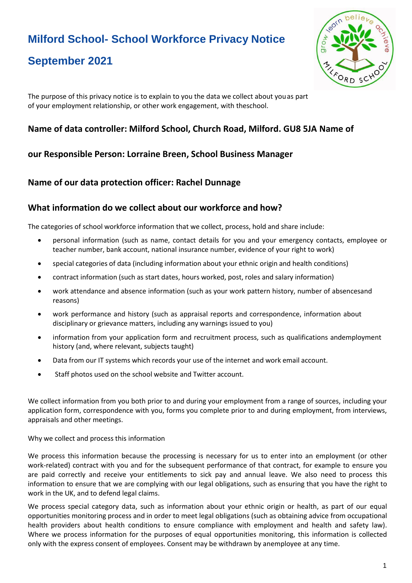# **Milford School- School Workforce Privacy Notice**

## **September 2021**



The purpose of this privacy notice is to explain to you the data we collect about youas part of your employment relationship, or other work engagement, with theschool.

## **Name of data controller: Milford School, Church Road, Milford. GU8 5JA Name of**

## **our Responsible Person: Lorraine Breen, School Business Manager**

## **Name of our data protection officer: Rachel Dunnage**

### **What information do we collect about our workforce and how?**

The categories of school workforce information that we collect, process, hold and share include:

- personal information (such as name, contact details for you and your emergency contacts, employee or teacher number, bank account, national insurance number, evidence of your right to work)
- special categories of data (including information about your ethnic origin and health conditions)
- contract information (such as start dates, hours worked, post, roles and salary information)
- work attendance and absence information (such as your work pattern history, number of absencesand reasons)
- work performance and history (such as appraisal reports and correspondence, information about disciplinary or grievance matters, including any warnings issued to you)
- information from your application form and recruitment process, such as qualifications andemployment history (and, where relevant, subjects taught)
- Data from our IT systems which records your use of the internet and work email account.
- Staff photos used on the school website and Twitter account.

We collect information from you both prior to and during your employment from a range of sources, including your application form, correspondence with you, forms you complete prior to and during employment, from interviews, appraisals and other meetings.

Why we collect and process this information

We process this information because the processing is necessary for us to enter into an employment (or other work-related) contract with you and for the subsequent performance of that contract, for example to ensure you are paid correctly and receive your entitlements to sick pay and annual leave. We also need to process this information to ensure that we are complying with our legal obligations, such as ensuring that you have the right to work in the UK, and to defend legal claims.

We process special category data, such as information about your ethnic origin or health, as part of our equal opportunities monitoring process and in order to meet legal obligations (such as obtaining advice from occupational health providers about health conditions to ensure compliance with employment and health and safety law). Where we process information for the purposes of equal opportunities monitoring, this information is collected only with the express consent of employees. Consent may be withdrawn by anemployee at any time.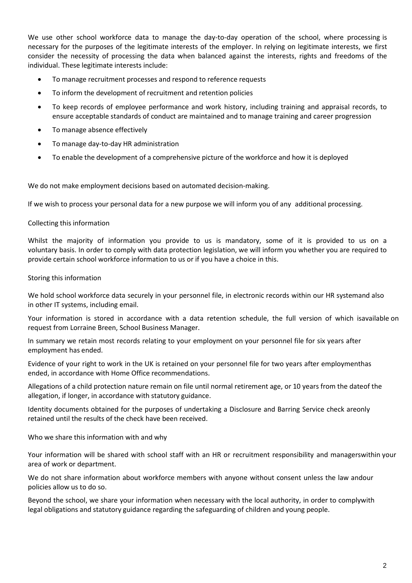We use other school workforce data to manage the day-to-day operation of the school, where processing is necessary for the purposes of the legitimate interests of the employer. In relying on legitimate interests, we first consider the necessity of processing the data when balanced against the interests, rights and freedoms of the individual. These legitimate interests include:

- To manage recruitment processes and respond to reference requests
- To inform the development of recruitment and retention policies
- To keep records of employee performance and work history, including training and appraisal records, to ensure acceptable standards of conduct are maintained and to manage training and career progression
- To manage absence effectively
- To manage day-to-day HR administration
- To enable the development of a comprehensive picture of the workforce and how it is deployed

We do not make employment decisions based on automated decision-making.

If we wish to process your personal data for a new purpose we will inform you of any additional processing.

#### Collecting this information

Whilst the majority of information you provide to us is mandatory, some of it is provided to us on a voluntary basis. In order to comply with data protection legislation, we will inform you whether you are required to provide certain school workforce information to us or if you have a choice in this.

#### Storing this information

We hold school workforce data securely in your personnel file, in electronic records within our HR systemand also in other IT systems, including email.

Your information is stored in accordance with a data retention schedule, the full version of which isavailable on request from Lorraine Breen, School Business Manager.

In summary we retain most records relating to your employment on your personnel file for six years after employment has ended.

Evidence of your right to work in the UK is retained on your personnel file for two years after employmenthas ended, in accordance with Home Office recommendations.

Allegations of a child protection nature remain on file until normal retirement age, or 10 years from the dateof the allegation, if longer, in accordance with statutory guidance.

Identity documents obtained for the purposes of undertaking a Disclosure and Barring Service check areonly retained until the results of the check have been received.

Who we share this information with and why

Your information will be shared with school staff with an HR or recruitment responsibility and managerswithin your area of work or department.

We do not share information about workforce members with anyone without consent unless the law andour policies allow us to do so.

Beyond the school, we share your information when necessary with the local authority, in order to complywith legal obligations and statutory guidance regarding the safeguarding of children and young people.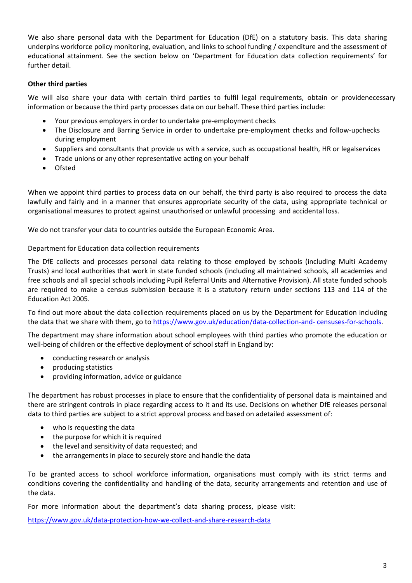We also share personal data with the Department for Education (DfE) on a statutory basis. This data sharing underpins workforce policy monitoring, evaluation, and links to school funding / expenditure and the assessment of educational attainment. See the section below on 'Department for Education data collection requirements' for further detail.

#### **Other third parties**

We will also share your data with certain third parties to fulfil legal requirements, obtain or providenecessary information or because the third party processes data on our behalf. These third parties include:

- Your previous employers in order to undertake pre-employment checks
- The Disclosure and Barring Service in order to undertake pre-employment checks and follow-upchecks during employment
- Suppliers and consultants that provide us with a service, such as occupational health, HR or legalservices
- Trade unions or any other representative acting on your behalf
- Ofsted

When we appoint third parties to process data on our behalf, the third party is also required to process the data lawfully and fairly and in a manner that ensures appropriate security of the data, using appropriate technical or organisational measures to protect against unauthorised or unlawful processing and accidental loss.

We do not transfer your data to countries outside the European Economic Area.

#### Department for Education data collection requirements

The DfE collects and processes personal data relating to those employed by schools (including Multi Academy Trusts) and local authorities that work in state funded schools (including all maintained schools, all academies and free schools and all special schools including Pupil Referral Units and Alternative Provision). All state funded schools are required to make a census submission because it is a statutory return under sections 113 and 114 of the Education Act 2005.

To find out more about the data collection requirements placed on us by the Department for Education including the data that we share with them, go to [https://www.gov.uk/education/data-collection-and-](https://www.gov.uk/education/data-collection-and-censuses-for-schools) [censuses-for-schools.](https://www.gov.uk/education/data-collection-and-censuses-for-schools)

The department may share information about school employees with third parties who promote the education or well-being of children or the effective deployment of school staff in England by:

- conducting research or analysis
- producing statistics
- providing information, advice or guidance

The department has robust processes in place to ensure that the confidentiality of personal data is maintained and there are stringent controls in place regarding access to it and its use. Decisions on whether DfE releases personal data to third parties are subject to a strict approval process and based on adetailed assessment of:

- who is requesting the data
- the purpose for which it is required
- the level and sensitivity of data requested; and
- the arrangements in place to securely store and handle the data

To be granted access to school workforce information, organisations must comply with its strict terms and conditions covering the confidentiality and handling of the data, security arrangements and retention and use of the data.

For more information about the department's data sharing process, please visit:

<https://www.gov.uk/data-protection-how-we-collect-and-share-research-data>